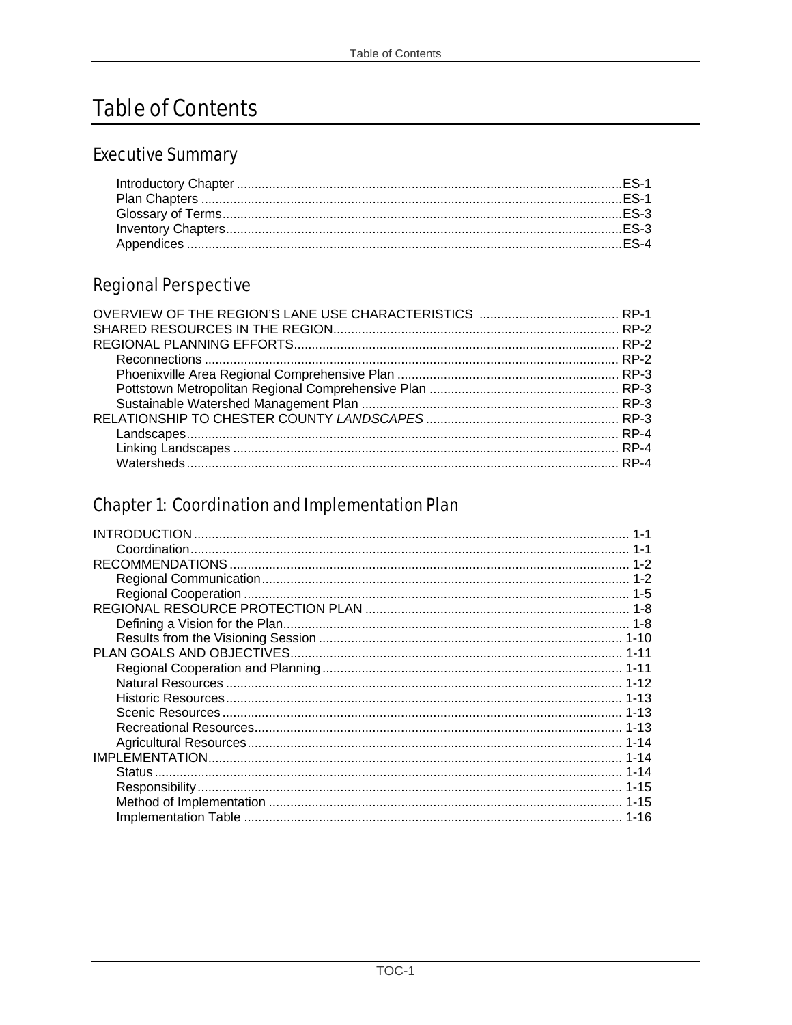# **Table of Contents**

#### **Executive Summary**

### **Regional Perspective**

## **Chapter 1: Coordination and Implementation Plan**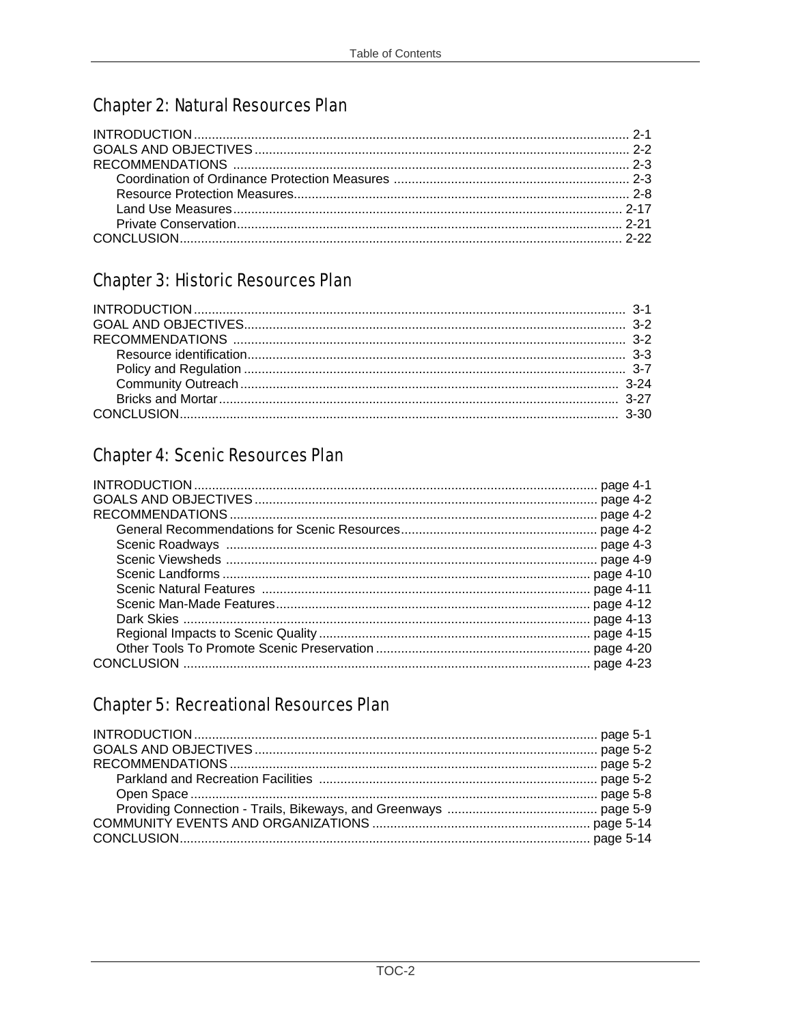### **Chapter 2: Natural Resources Plan**

### **Chapter 3: Historic Resources Plan**

## **Chapter 4: Scenic Resources Plan**

#### **Chapter 5: Recreational Resources Plan**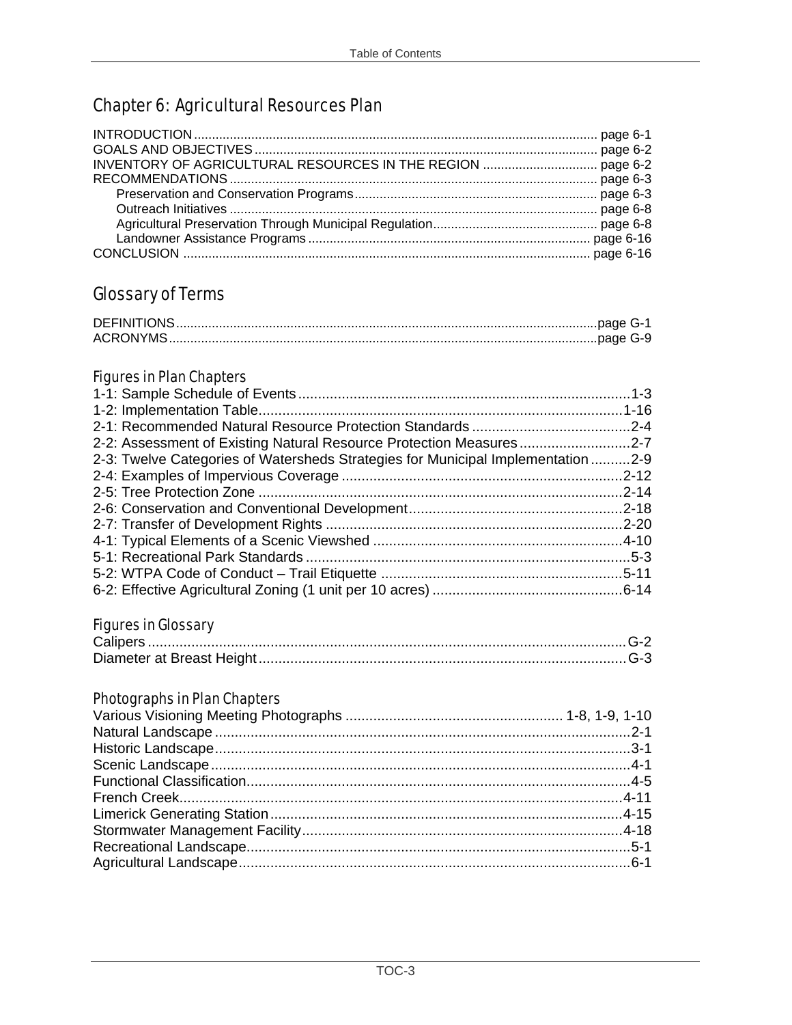## **Chapter 6: Agricultural Resources Plan**

#### **Glossary of Terms**

#### **Figures in Plan Chapters**

| 2-2: Assessment of Existing Natural Resource Protection Measures2-7              |  |
|----------------------------------------------------------------------------------|--|
| 2-3: Twelve Categories of Watersheds Strategies for Municipal Implementation 2-9 |  |
|                                                                                  |  |
|                                                                                  |  |
|                                                                                  |  |
|                                                                                  |  |
|                                                                                  |  |
|                                                                                  |  |
|                                                                                  |  |
|                                                                                  |  |

#### **Figures in Glossary**

#### **Photographs in Plan Chapters**